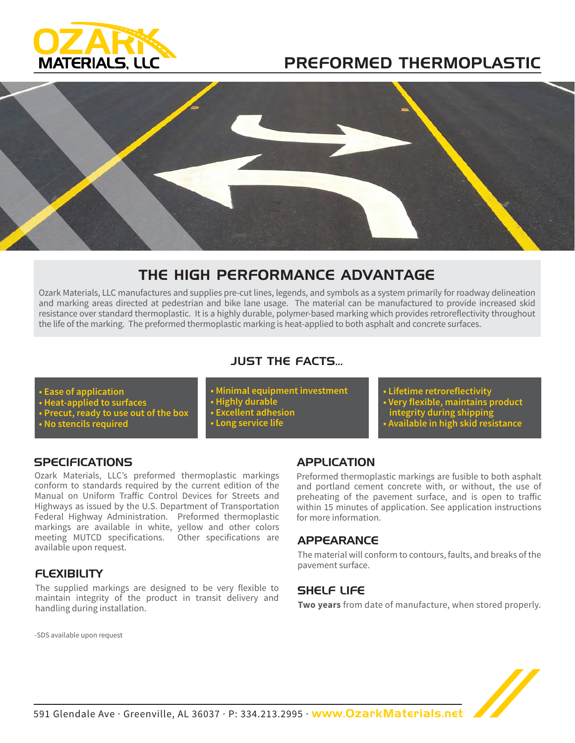

# PREFORMED THERMOPLASTIC



## THE HIGH PERFORMANCE ADVANTAGE

Ozark Materials, LLC manufactures and supplies pre-cut lines, legends, and symbols as a system primarily for roadway delineation and marking areas directed at pedestrian and bike lane usage. The material can be manufactured to provide increased skid resistance over standard thermoplastic. It is a highly durable, polymer-based marking which provides retroreflectivity throughout the life of the marking. The preformed thermoplastic marking is heat-applied to both asphalt and concrete surfaces.

## JUST THE FACTS...

- **Ease of application**
- **Heat-applied to surfaces**
- **Precut, ready to use out of the box**
- **No stencils required**

**• Minimal equipment investment • Highly durable • Excellent adhesion • Long service life**

- **Lifetime retroreflectivity**
- **Very flexible, maintains product**
- **integrity during shipping**
- **Available in high skid resistance**

## **SPECIFICATIONS**

Ozark Materials, LLC's preformed thermoplastic markings conform to standards required by the current edition of the Manual on Uniform Traffic Control Devices for Streets and Highways as issued by the U.S. Department of Transportation Federal Highway Administration. Preformed thermoplastic markings are available in white, yellow and other colors meeting MUTCD specifications. Other specifications are available upon request.

## **FLEXIBILITY**

The supplied markings are designed to be very flexible to maintain integrity of the product in transit delivery and handling during installation.

#### -SDS available upon request

## APPLICATION

Preformed thermoplastic markings are fusible to both asphalt and portland cement concrete with, or without, the use of preheating of the pavement surface, and is open to traffic within 15 minutes of application. See application instructions for more information.

## **APPEARANCE**

The material will conform to contours, faults, and breaks of the pavement surface.

## SHELF LIFE

**Two years** from date of manufacture, when stored properly.